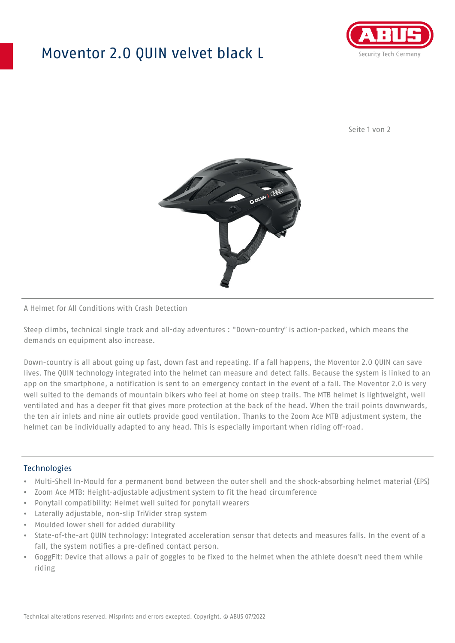## Moventor 2.0 QUIN velvet black L



Seite 1 von 2



#### A Helmet for All Conditions with Crash Detection

Steep climbs, technical single track and all-day adventures : "Down-country" is action-packed, which means the demands on equipment also increase.

Down-country is all about going up fast, down fast and repeating. If a fall happens, the Moventor 2.0 QUIN can save lives. The QUIN technology integrated into the helmet can measure and detect falls. Because the system is linked to an app on the smartphone, a notification is sent to an emergency contact in the event of a fall. The Moventor 2.0 is very well suited to the demands of mountain bikers who feel at home on steep trails. The MTB helmet is lightweight, well ventilated and has a deeper fit that gives more protection at the back of the head. When the trail points downwards, the ten air inlets and nine air outlets provide good ventilation. Thanks to the Zoom Ace MTB adjustment system, the helmet can be individually adapted to any head. This is especially important when riding off-road.

#### Technologies

- Multi-Shell In-Mould for a permanent bond between the outer shell and the shock-absorbing helmet material (EPS)
- Zoom Ace MTB: Height-adjustable adjustment system to fit the head circumference
- Ponytail compatibility: Helmet well suited for ponytail wearers
- Laterally adjustable, non-slip TriVider strap system
- Moulded lower shell for added durability
- State-of-the-art QUIN technology: Integrated acceleration sensor that detects and measures falls. In the event of a fall, the system notifies a pre-defined contact person.
- GoggFit: Device that allows a pair of goggles to be fixed to the helmet when the athlete doesn't need them while riding